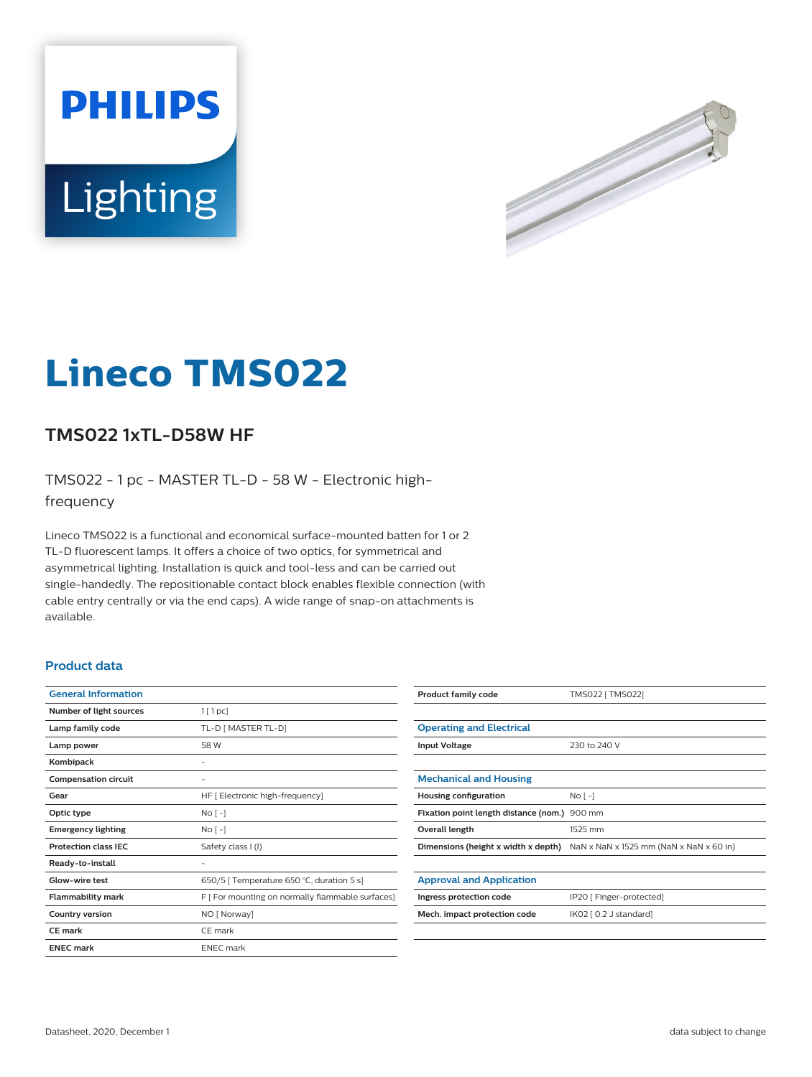



# **Lineco TMS022**

## **TMS022 1xTL-D58W HF**

TMS022 - 1 pc - MASTER TL-D - 58 W - Electronic highfrequency

Lineco TMS022 is a functional and economical surface-mounted batten for 1 or 2 TL-D fluorescent lamps. It offers a choice of two optics, for symmetrical and asymmetrical lighting. Installation is quick and tool-less and can be carried out single-handedly. The repositionable contact block enables flexible connection (with cable entry centrally or via the end caps). A wide range of snap-on attachments is available.

#### **Product data**

| <b>General Information</b>  |                                                  |
|-----------------------------|--------------------------------------------------|
| Number of light sources     | $1$ [ 1 pc]                                      |
| Lamp family code            | TL-D [ MASTER TL-D]                              |
| Lamp power                  | 58 W                                             |
| Kombipack                   |                                                  |
| <b>Compensation circuit</b> | -                                                |
| Gear                        | HF [ Electronic high-frequency]                  |
| Optic type                  | $No[-]$                                          |
| <b>Emergency lighting</b>   | No <sub>1</sub>                                  |
| <b>Protection class IEC</b> | Safety class I (I)                               |
| Ready-to-install            |                                                  |
| Glow-wire test              | 650/5   Temperature 650 °C, duration 5 s]        |
| <b>Flammability mark</b>    | F [ For mounting on normally flammable surfaces] |
| <b>Country version</b>      | NO [ Norway]                                     |
| <b>CE</b> mark              | CE mark                                          |
| <b>ENEC mark</b>            | <b>ENEC</b> mark                                 |
|                             |                                                  |

| <b>Product family code</b>                   | TMS022 [ TMS022]                        |
|----------------------------------------------|-----------------------------------------|
|                                              |                                         |
| <b>Operating and Electrical</b>              |                                         |
| <b>Input Voltage</b>                         | 230 to 240 V                            |
|                                              |                                         |
| <b>Mechanical and Housing</b>                |                                         |
| <b>Housing configuration</b>                 | No <sub>1</sub>                         |
| Fixation point length distance (nom.) 900 mm |                                         |
| Overall length                               | 1525 mm                                 |
| Dimensions (height x width x depth)          | NaN x NaN x 1525 mm (NaN x NaN x 60 in) |
|                                              |                                         |
| <b>Approval and Application</b>              |                                         |
| Ingress protection code                      | IP20 [ Finger-protected]                |
| Mech. impact protection code                 | IK02 [ 0.2 J standard]                  |
|                                              |                                         |